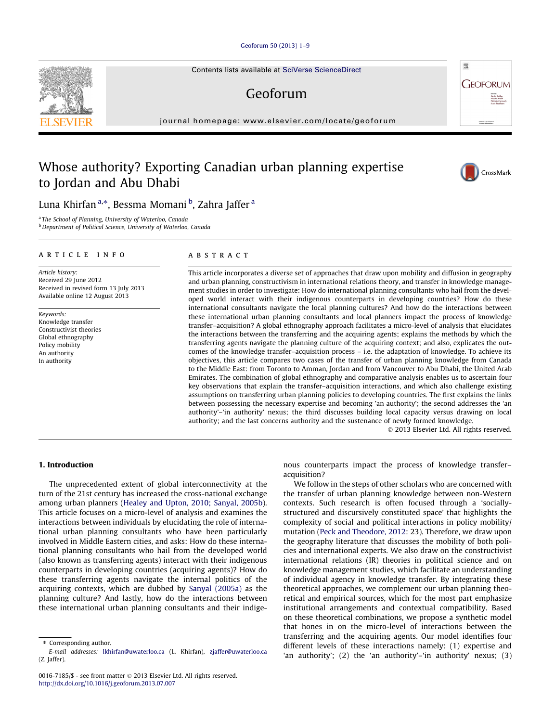# [Geoforum 50 \(2013\) 1–9](http://dx.doi.org/10.1016/j.geoforum.2013.07.007)

Contents lists available at [SciVerse ScienceDirect](http://www.sciencedirect.com/science/journal/00167185)

# Geoforum

journal homepage: [www.elsevier.com/locate/geoforum](http://www.elsevier.com/locate/geoforum)

# Whose authority? Exporting Canadian urban planning expertise to Jordan and Abu Dhabi



<sup>a</sup> The School of Planning, University of Waterloo, Canada **b** Department of Political Science, University of Waterloo, Canada

#### article info

Article history: Received 29 June 2012 Received in revised form 13 July 2013 Available online 12 August 2013

Keywords: Knowledge transfer Constructivist theories Global ethnography Policy mobility An authority In authority

## ABSTRACT

This article incorporates a diverse set of approaches that draw upon mobility and diffusion in geography and urban planning, constructivism in international relations theory, and transfer in knowledge management studies in order to investigate: How do international planning consultants who hail from the developed world interact with their indigenous counterparts in developing countries? How do these international consultants navigate the local planning cultures? And how do the interactions between these international urban planning consultants and local planners impact the process of knowledge transfer–acquisition? A global ethnography approach facilitates a micro-level of analysis that elucidates the interactions between the transferring and the acquiring agents; explains the methods by which the transferring agents navigate the planning culture of the acquiring context; and also, explicates the outcomes of the knowledge transfer–acquisition process – i.e. the adaptation of knowledge. To achieve its objectives, this article compares two cases of the transfer of urban planning knowledge from Canada to the Middle East: from Toronto to Amman, Jordan and from Vancouver to Abu Dhabi, the United Arab Emirates. The combination of global ethnography and comparative analysis enables us to ascertain four key observations that explain the transfer–acquisition interactions, and which also challenge existing assumptions on transferring urban planning policies to developing countries. The first explains the links between possessing the necessary expertise and becoming 'an authority'; the second addresses the 'an authority'–'in authority' nexus; the third discusses building local capacity versus drawing on local authority; and the last concerns authority and the sustenance of newly formed knowledge.

- 2013 Elsevier Ltd. All rights reserved.

# 1. Introduction

The unprecedented extent of global interconnectivity at the turn of the 21st century has increased the cross-national exchange among urban planners ([Healey and Upton, 2010; Sanyal, 2005b\)](#page-7-0). This article focuses on a micro-level of analysis and examines the interactions between individuals by elucidating the role of international urban planning consultants who have been particularly involved in Middle Eastern cities, and asks: How do these international planning consultants who hail from the developed world (also known as transferring agents) interact with their indigenous counterparts in developing countries (acquiring agents)? How do these transferring agents navigate the internal politics of the acquiring contexts, which are dubbed by [Sanyal \(2005a\)](#page-8-0) as the planning culture? And lastly, how do the interactions between these international urban planning consultants and their indige-

⇑ Corresponding author.

nous counterparts impact the process of knowledge transfer– acquisition?

We follow in the steps of other scholars who are concerned with the transfer of urban planning knowledge between non-Western contexts. Such research is often focused through a 'sociallystructured and discursively constituted space' that highlights the complexity of social and political interactions in policy mobility/ mutation ([Peck and Theodore, 2012:](#page-8-0) 23). Therefore, we draw upon the geography literature that discusses the mobility of both policies and international experts. We also draw on the constructivist international relations (IR) theories in political science and on knowledge management studies, which facilitate an understanding of individual agency in knowledge transfer. By integrating these theoretical approaches, we complement our urban planning theoretical and empirical sources, which for the most part emphasize institutional arrangements and contextual compatibility. Based on these theoretical combinations, we propose a synthetic model that hones in on the micro-level of interactions between the transferring and the acquiring agents. Our model identifies four different levels of these interactions namely: (1) expertise and 'an authority'; (2) the 'an authority'–'in authority' nexus; (3)







E-mail addresses: [lkhirfan@uwaterloo.ca](mailto:lkhirfan@uwaterloo.ca) (L. Khirfan), [zjaffer@uwaterloo.ca](mailto:zjaffer@uwaterloo.ca) (Z. Jaffer).

<sup>0016-7185/\$ -</sup> see front matter © 2013 Elsevier Ltd. All rights reserved. <http://dx.doi.org/10.1016/j.geoforum.2013.07.007>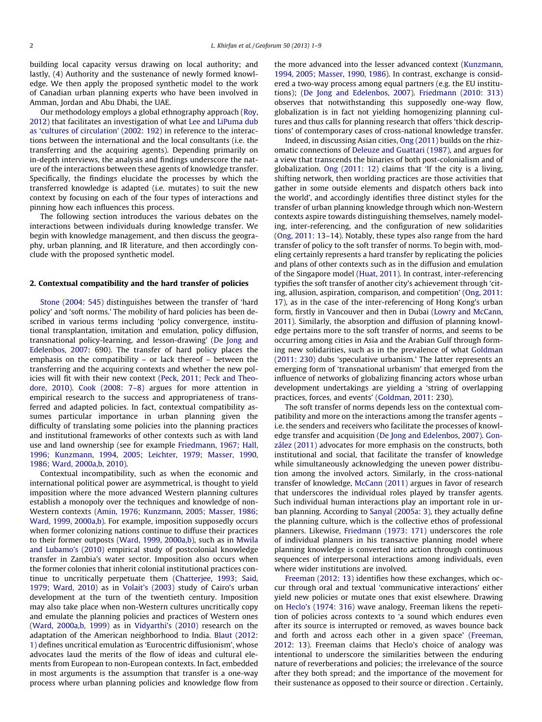building local capacity versus drawing on local authority; and lastly, (4) Authority and the sustenance of newly formed knowledge. We then apply the proposed synthetic model to the work of Canadian urban planning experts who have been involved in Amman, Jordan and Abu Dhabi, the UAE.

Our methodology employs a global ethnography approach ([Roy,](#page-8-0) [2012\)](#page-8-0) that facilitates an investigation of what [Lee and LiPuma dub](#page-7-0) [as 'cultures of circulation' \(2002: 192\)](#page-7-0) in reference to the interactions between the international and the local consultants (i.e. the transferring and the acquiring agents). Depending primarily on in-depth interviews, the analysis and findings underscore the nature of the interactions between these agents of knowledge transfer. Specifically, the findings elucidate the processes by which the transferred knowledge is adapted (i.e. mutates) to suit the new context by focusing on each of the four types of interactions and pinning how each influences this process.

The following section introduces the various debates on the interactions between individuals during knowledge transfer. We begin with knowledge management, and then discuss the geography, urban planning, and IR literature, and then accordingly conclude with the proposed synthetic model.

#### 2. Contextual compatibility and the hard transfer of policies

[Stone \(2004: 545\)](#page-8-0) distinguishes between the transfer of 'hard policy' and 'soft norms.' The mobility of hard policies has been described in various terms including 'policy convergence, institutional transplantation, imitation and emulation, policy diffusion, transnational policy-learning, and lesson-drawing' [\(De Jong and](#page-7-0) [Edelenbos, 2007:](#page-7-0) 690). The transfer of hard policy places the emphasis on the compatibility – or lack thereof – between the transferring and the acquiring contexts and whether the new policies will fit with their new context [\(Peck, 2011; Peck and Theo](#page-8-0)[dore, 2010](#page-8-0)). [Cook \(2008: 7–8\)](#page-7-0) argues for more attention in empirical research to the success and appropriateness of transferred and adapted policies. In fact, contextual compatibility assumes particular importance in urban planning given the difficulty of translating some policies into the planning practices and institutional frameworks of other contexts such as with land use and land ownership (see for example [Friedmann, 1967; Hall,](#page-7-0) [1996; Kunzmann, 1994, 2005; Leichter, 1979; Masser, 1990,](#page-7-0) [1986; Ward, 2000a,b, 2010\)](#page-7-0).

Contextual incompatibility, such as when the economic and international political power are asymmetrical, is thought to yield imposition where the more advanced Western planning cultures establish a monopoly over the techniques and knowledge of non-Western contexts ([Amin, 1976; Kunzmann, 2005; Masser, 1986;](#page-7-0) [Ward, 1999, 2000a,b\)](#page-7-0). For example, imposition supposedly occurs when former colonizing nations continue to diffuse their practices to their former outposts [\(Ward, 1999, 2000a,b\)](#page-8-0), such as in [Mwila](#page-8-0) [and Lubamo's \(2010\)](#page-8-0) empirical study of postcolonial knowledge transfer in Zambia's water sector. Imposition also occurs when the former colonies that inherit colonial institutional practices continue to uncritically perpetuate them ([Chatterjee, 1993; Said,](#page-7-0) [1979; Ward, 2010](#page-7-0)) as in [Volait's \(2003\)](#page-8-0) study of Cairo's urban development at the turn of the twentieth century. Imposition may also take place when non-Western cultures uncritically copy and emulate the planning policies and practices of Western ones ([Ward, 2000a,b, 1999](#page-8-0)) as in [Vidyarthi's \(2010\)](#page-8-0) research on the adaptation of the American neighborhood to India. [Blaut \(2012:](#page-7-0) [1\)](#page-7-0) defines uncritical emulation as 'Eurocentric diffusionism', whose advocates laud the merits of the flow of ideas and cultural elements from European to non-European contexts. In fact, embedded in most arguments is the assumption that transfer is a one-way process where urban planning policies and knowledge flow from the more advanced into the lesser advanced context ([Kunzmann,](#page-7-0) [1994, 2005; Masser, 1990, 1986](#page-7-0)). In contrast, exchange is considered a two-way process among equal partners (e.g. the EU institutions); ([De Jong and Edelenbos, 2007\)](#page-7-0). [Friedmann \(2010: 313\)](#page-7-0) observes that notwithstanding this supposedly one-way flow, globalization is in fact not yielding homogenizing planning cultures and thus calls for planning research that offers 'thick descriptions' of contemporary cases of cross-national knowledge transfer.

Indeed, in discussing Asian cities, [Ong \(2011\)](#page-8-0) builds on the rhizomatic connections of [Deleuze and Guattari \(1987\)](#page-7-0), and argues for a view that transcends the binaries of both post-colonialism and of globalization. [Ong \(2011: 12\)](#page-8-0) claims that 'If the city is a living, shifting network, then worlding practices are those activities that gather in some outside elements and dispatch others back into the world', and accordingly identifies three distinct styles for the transfer of urban planning knowledge through which non-Western contexts aspire towards distinguishing themselves, namely modeling, inter-referencing, and the configuration of new solidarities ([Ong, 2011](#page-8-0): 13–14). Notably, these types also range from the hard transfer of policy to the soft transfer of norms. To begin with, modeling certainly represents a hard transfer by replicating the policies and plans of other contexts such as in the diffusion and emulation of the Singapore model ([Huat, 2011](#page-7-0)). In contrast, inter-referencing typifies the soft transfer of another city's achievement through 'citing, allusion, aspiration, comparison, and competition' [\(Ong, 2011:](#page-8-0) 17), as in the case of the inter-referencing of Hong Kong's urban form, firstly in Vancouver and then in Dubai [\(Lowry and McCann,](#page-7-0) [2011\)](#page-7-0). Similarly, the absorption and diffusion of planning knowledge pertains more to the soft transfer of norms, and seems to be occurring among cities in Asia and the Arabian Gulf through forming new solidarities, such as in the prevalence of what [Goldman](#page-7-0) [\(2011: 230\)](#page-7-0) dubs 'speculative urbanism.' The latter represents an emerging form of 'transnational urbanism' that emerged from the influence of networks of globalizing financing actors whose urban development undertakings are yielding a 'string of overlapping practices, forces, and events' ([Goldman, 2011:](#page-7-0) 230).

The soft transfer of norms depends less on the contextual compatibility and more on the interactions among the transfer agents – i.e. the senders and receivers who facilitate the processes of knowledge transfer and acquisition [\(De Jong and Edelenbos, 2007\)](#page-7-0). [Gon](#page-7-0)[zález \(2011\)](#page-7-0) advocates for more emphasis on the constructs, both institutional and social, that facilitate the transfer of knowledge while simultaneously acknowledging the uneven power distribution among the involved actors. Similarly, in the cross-national transfer of knowledge, [McCann \(2011\)](#page-7-0) argues in favor of research that underscores the individual roles played by transfer agents. Such individual human interactions play an important role in urban planning. According to [Sanyal \(2005a: 3\)](#page-8-0), they actually define the planning culture, which is the collective ethos of professional planners. Likewise, [Friedmann \(1973: 171\)](#page-7-0) underscores the role of individual planners in his transactive planning model where planning knowledge is converted into action through continuous sequences of interpersonal interactions among individuals, even where wider institutions are involved.

[Freeman \(2012: 13\)](#page-7-0) identifies how these exchanges, which occur through oral and textual 'communicative interactions' either yield new policies or mutate ones that exist elsewhere. Drawing on [Heclo's \(1974: 316\)](#page-7-0) wave analogy, Freeman likens the repetition of policies across contexts to 'a sound which endures even after its source is interrupted or removed, as waves bounce back and forth and across each other in a given space' [\(Freeman,](#page-7-0) [2012:](#page-7-0) 13). Freeman claims that Heclo's choice of analogy was intentional to underscore the similarities between the enduring nature of reverberations and policies; the irrelevance of the source after they both spread; and the importance of the movement for their sustenance as opposed to their source or direction . Certainly,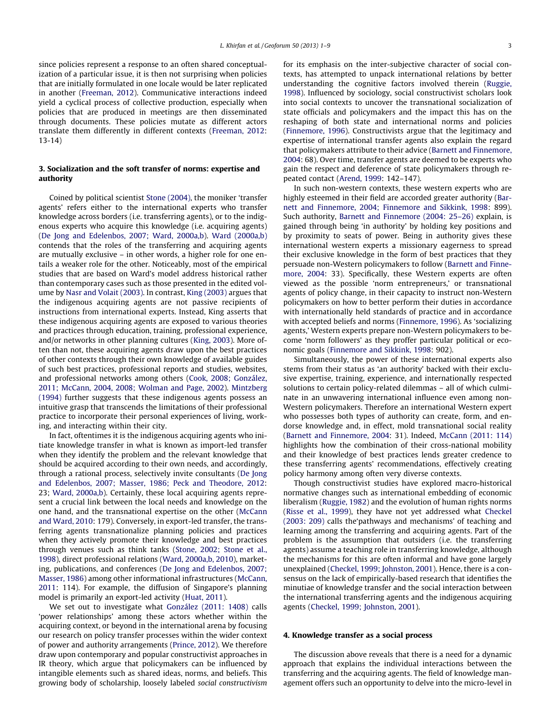since policies represent a response to an often shared conceptualization of a particular issue, it is then not surprising when policies that are initially formulated in one locale would be later replicated in another ([Freeman, 2012](#page-7-0)). Communicative interactions indeed yield a cyclical process of collective production, especially when policies that are produced in meetings are then disseminated through documents. These policies mutate as different actors translate them differently in different contexts [\(Freeman, 2012:](#page-7-0) 13-14)

# 3. Socialization and the soft transfer of norms: expertise and authority

Coined by political scientist [Stone \(2004\)](#page-8-0), the moniker 'transfer agents' refers either to the international experts who transfer knowledge across borders (i.e. transferring agents), or to the indigenous experts who acquire this knowledge (i.e. acquiring agents) ([De Jong and Edelenbos, 2007; Ward, 2000a,b](#page-7-0)). [Ward \(2000a,b\)](#page-8-0) contends that the roles of the transferring and acquiring agents are mutually exclusive – in other words, a higher role for one entails a weaker role for the other. Noticeably, most of the empirical studies that are based on Ward's model address historical rather than contemporary cases such as those presented in the edited volume by [Nasr and Volait \(2003\)](#page-8-0). In contrast, [King \(2003\)](#page-7-0) argues that the indigenous acquiring agents are not passive recipients of instructions from international experts. Instead, King asserts that these indigenous acquiring agents are exposed to various theories and practices through education, training, professional experience, and/or networks in other planning cultures ([King, 2003](#page-7-0)). More often than not, these acquiring agents draw upon the best practices of other contexts through their own knowledge of available guides of such best practices, professional reports and studies, websites, and professional networks among others ([Cook, 2008; González,](#page-7-0) [2011; McCann, 2004, 2008; Wolman and Page, 2002](#page-7-0)). [Mintzberg](#page-7-0) [\(1994\)](#page-7-0) further suggests that these indigenous agents possess an intuitive grasp that transcends the limitations of their professional practice to incorporate their personal experiences of living, working, and interacting within their city.

In fact, oftentimes it is the indigenous acquiring agents who initiate knowledge transfer in what is known as import-led transfer when they identify the problem and the relevant knowledge that should be acquired according to their own needs, and accordingly, through a rational process, selectively invite consultants [\(De Jong](#page-7-0) [and Edelenbos, 2007; Masser, 1986; Peck and Theodore, 2012:](#page-7-0) 23; [Ward, 2000a,b](#page-8-0)). Certainly, these local acquiring agents represent a crucial link between the local needs and knowledge on the one hand, and the transnational expertise on the other ([McCann](#page-7-0) [and Ward, 2010:](#page-7-0) 179). Conversely, in export-led transfer, the transferring agents transnationalize planning policies and practices when they actively promote their knowledge and best practices through venues such as think tanks [\(Stone, 2002; Stone et al.,](#page-8-0) [1998\)](#page-8-0), direct professional relations ([Ward, 2000a,b, 2010](#page-8-0)), marketing, publications, and conferences ([De Jong and Edelenbos, 2007;](#page-7-0) [Masser, 1986](#page-7-0)) among other informational infrastructures [\(McCann,](#page-7-0) [2011:](#page-7-0) 114). For example, the diffusion of Singapore's planning model is primarily an export-led activity [\(Huat, 2011](#page-7-0)).

We set out to investigate what [González \(2011: 1408\)](#page-7-0) calls 'power relationships' among these actors whether within the acquiring context, or beyond in the international arena by focusing our research on policy transfer processes within the wider context of power and authority arrangements ([Prince, 2012\)](#page-8-0). We therefore draw upon contemporary and popular constructivist approaches in IR theory, which argue that policymakers can be influenced by intangible elements such as shared ideas, norms, and beliefs. This growing body of scholarship, loosely labeled social constructivism for its emphasis on the inter-subjective character of social contexts, has attempted to unpack international relations by better understanding the cognitive factors involved therein [\(Ruggie,](#page-8-0) [1998\)](#page-8-0). Influenced by sociology, social constructivist scholars look into social contexts to uncover the transnational socialization of state officials and policymakers and the impact this has on the reshaping of both state and international norms and policies ([Finnemore, 1996](#page-7-0)). Constructivists argue that the legitimacy and expertise of international transfer agents also explain the regard that policymakers attribute to their advice ([Barnett and Finnemore,](#page-7-0) [2004](#page-7-0): 68). Over time, transfer agents are deemed to be experts who gain the respect and deference of state policymakers through repeated contact [\(Arend, 1999](#page-7-0): 142–147).

In such non-western contexts, these western experts who are highly esteemed in their field are accorded greater authority ([Bar](#page-7-0)[nett and Finnemore, 2004; Finnemore and Sikkink, 1998](#page-7-0): 899). Such authority, [Barnett and Finnemore \(2004: 25–26\)](#page-7-0) explain, is gained through being 'in authority' by holding key positions and by proximity to seats of power. Being in authority gives these international western experts a missionary eagerness to spread their exclusive knowledge in the form of best practices that they persuade non-Western policymakers to follow [\(Barnett and Finne](#page-7-0)[more, 2004:](#page-7-0) 33). Specifically, these Western experts are often viewed as the possible 'norm entrepreneurs,' or transnational agents of policy change, in their capacity to instruct non-Western policymakers on how to better perform their duties in accordance with internationally held standards of practice and in accordance with accepted beliefs and norms ([Finnemore, 1996\)](#page-7-0). As 'socializing agents,' Western experts prepare non-Western policymakers to become 'norm followers' as they proffer particular political or economic goals ([Finnemore and Sikkink, 1998:](#page-7-0) 902).

Simultaneously, the power of these international experts also stems from their status as 'an authority' backed with their exclusive expertise, training, experience, and internationally respected solutions to certain policy-related dilemmas – all of which culminate in an unwavering international influence even among non-Western policymakers. Therefore an international Western expert who possesses both types of authority can create, form, and endorse knowledge and, in effect, mold transnational social reality ([Barnett and Finnemore, 2004:](#page-7-0) 31). Indeed, [McCann \(2011: 114\)](#page-7-0) highlights how the combination of their cross-national mobility and their knowledge of best practices lends greater credence to these transferring agents' recommendations, effectively creating policy harmony among often very diverse contexts.

Though constructivist studies have explored macro-historical normative changes such as international embedding of economic liberalism [\(Ruggie, 1982\)](#page-8-0) and the evolution of human rights norms ([Risse et al., 1999](#page-8-0)), they have not yet addressed what [Checkel](#page-7-0) [\(2003: 209\)](#page-7-0) calls the'pathways and mechanisms' of teaching and learning among the transferring and acquiring agents. Part of the problem is the assumption that outsiders (i.e. the transferring agents) assume a teaching role in transferring knowledge, although the mechanisms for this are often informal and have gone largely unexplained [\(Checkel, 1999; Johnston, 2001\)](#page-7-0). Hence, there is a consensus on the lack of empirically-based research that identifies the minutiae of knowledge transfer and the social interaction between the international transferring agents and the indigenous acquiring agents ([Checkel, 1999; Johnston, 2001\)](#page-7-0).

## 4. Knowledge transfer as a social process

The discussion above reveals that there is a need for a dynamic approach that explains the individual interactions between the transferring and the acquiring agents. The field of knowledge management offers such an opportunity to delve into the micro-level in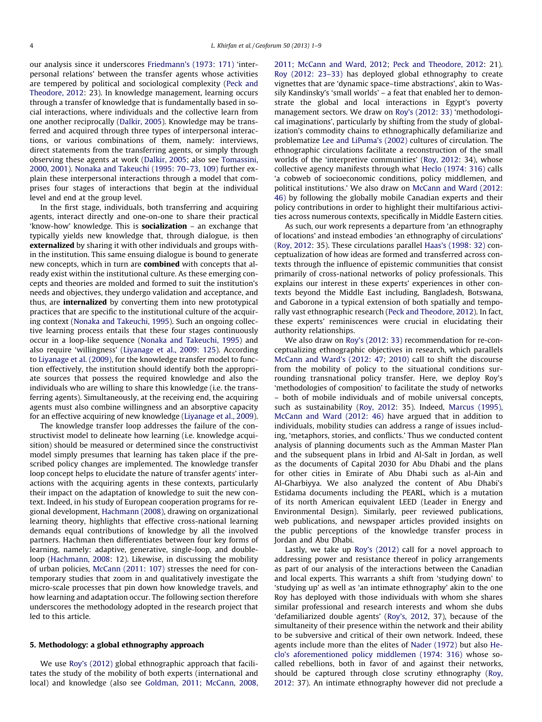our analysis since it underscores [Friedmann's \(1973: 171\)](#page-7-0) 'interpersonal relations' between the transfer agents whose activities are tempered by political and sociological complexity ([Peck and](#page-8-0) [Theodore, 2012](#page-8-0): 23). In knowledge management, learning occurs through a transfer of knowledge that is fundamentally based in social interactions, where individuals and the collective learn from one another reciprocally [\(Dalkir, 2005\)](#page-7-0). Knowledge may be transferred and acquired through three types of interpersonal interactions, or various combinations of them, namely: interviews, direct statements from the transferring agents, or simply through observing these agents at work [\(Dalkir, 2005](#page-7-0); also see [Tomassini,](#page-8-0) [2000, 2001\)](#page-8-0). [Nonaka and Takeuchi \(1995: 70–73, 109\)](#page-8-0) further explain these interpersonal interactions through a model that comprises four stages of interactions that begin at the individual level and end at the group level.

In the first stage, individuals, both transferring and acquiring agents, interact directly and one-on-one to share their practical 'know-how' knowledge. This is socialization – an exchange that typically yields new knowledge that, through dialogue, is then externalized by sharing it with other individuals and groups within the institution. This same ensuing dialogue is bound to generate new concepts, which in turn are combined with concepts that already exist within the institutional culture. As these emerging concepts and theories are molded and formed to suit the institution's needs and objectives, they undergo validation and acceptance, and thus, are internalized by converting them into new prototypical practices that are specific to the institutional culture of the acquiring context [\(Nonaka and Takeuchi, 1995](#page-8-0)). Such an ongoing collective learning process entails that these four stages continuously occur in a loop-like sequence ([Nonaka and Takeuchi, 1995](#page-8-0)) and also require 'willingness' ([Liyanage et al., 2009: 125](#page-7-0)). According to [Liyanage et al. \(2009\),](#page-7-0) for the knowledge transfer model to function effectively, the institution should identify both the appropriate sources that possess the required knowledge and also the individuals who are willing to share this knowledge (i.e. the transferring agents). Simultaneously, at the receiving end, the acquiring agents must also combine willingness and an absorptive capacity for an effective acquiring of new knowledge ([Liyanage et al., 2009\)](#page-7-0).

The knowledge transfer loop addresses the failure of the constructivist model to delineate how learning (i.e. knowledge acquisition) should be measured or determined since the constructivist model simply presumes that learning has taken place if the prescribed policy changes are implemented. The knowledge transfer loop concept helps to elucidate the nature of transfer agents' interactions with the acquiring agents in these contexts, particularly their impact on the adaptation of knowledge to suit the new context. Indeed, in his study of European cooperation programs for regional development, [Hachmann \(2008\)](#page-7-0), drawing on organizational learning theory, highlights that effective cross-national learning demands equal contributions of knowledge by all the involved partners. Hachman then differentiates between four key forms of learning, namely: adaptive, generative, single-loop, and doubleloop ([Hachmann, 2008:](#page-7-0) 12). Likewise, in discussing the mobility of urban policies, [McCann \(2011: 107\)](#page-7-0) stresses the need for contemporary studies that zoom in and qualitatively investigate the micro-scale processes that pin down how knowledge travels, and how learning and adaptation occur. The following section therefore underscores the methodology adopted in the research project that led to this article.

# 5. Methodology: a global ethnography approach

We use [Roy's \(2012\)](#page-8-0) global ethnographic approach that facilitates the study of the mobility of both experts (international and local) and knowledge (also see [Goldman, 2011; McCann, 2008,](#page-7-0) [2011; McCann and Ward, 2012; Peck and Theodore, 2012](#page-7-0): 21). [Roy \(2012: 23–33\)](#page-8-0) has deployed global ethnography to create vignettes that are 'dynamic space–time abstractions', akin to Wassily Kandinsky's 'small worlds' – a feat that enabled her to demonstrate the global and local interactions in Egypt's poverty management sectors. We draw on [Roy's \(2012: 33\)](#page-8-0) 'methodological imaginations', particularly by shifting from the study of globalization's commodity chains to ethnographically defamiliarize and problematize [Lee and LiPuma's \(2002\)](#page-7-0) cultures of circulation. The ethnographic circulations facilitate a reconstruction of the small worlds of the 'interpretive communities' ([Roy, 2012](#page-8-0): 34), whose collective agency manifests through what [Heclo \(1974: 316\)](#page-7-0) calls 'a cobweb of socioeconomic conditions, policy middlemen, and political institutions.' We also draw on [McCann and Ward \(2012:](#page-7-0) [46\)](#page-7-0) by following the globally mobile Canadian experts and their policy contributions in order to highlight their multifarious activities across numerous contexts, specifically in Middle Eastern cities.

As such, our work represents a departure from 'an ethnography of locations' and instead embodies 'an ethnography of circulations' ([Roy, 2012](#page-8-0): 35). These circulations parallel [Haas's \(1998: 32\)](#page-7-0) conceptualization of how ideas are formed and transferred across contexts through the influence of epistemic communities that consist primarily of cross-national networks of policy professionals. This explains our interest in these experts' experiences in other contexts beyond the Middle East including, Bangladesh, Botswana, and Gaborone in a typical extension of both spatially and temporally vast ethnographic research [\(Peck and Theodore, 2012](#page-8-0)). In fact, these experts' reminiscences were crucial in elucidating their authority relationships.

We also draw on [Roy's \(2012: 33\)](#page-8-0) recommendation for re-conceptualizing ethnographic objectives in research, which parallels [McCann and Ward's \(2012: 47; 2010\)](#page-7-0) call to shift the discourse from the mobility of policy to the situational conditions surrounding transnational policy transfer. Here, we deploy Roy's 'methodologies of composition' to facilitate the study of networks – both of mobile individuals and of mobile universal concepts, such as sustainability ([Roy, 2012:](#page-8-0) 35). Indeed, [Marcus \(1995\),](#page-7-0) [McCann and Ward \(2012: 46\)](#page-7-0) have argued that in addition to individuals, mobility studies can address a range of issues including, 'metaphors, stories, and conflicts.' Thus we conducted content analysis of planning documents such as the Amman Master Plan and the subsequent plans in Irbid and Al-Salt in Jordan, as well as the documents of Capital 2030 for Abu Dhabi and the plans for other cities in Emirate of Abu Dhabi such as al-Ain and Al-Gharbiyya. We also analyzed the content of Abu Dhabi's Estidama documents including the PEARL, which is a mutation of its north American equivalent LEED (Leader in Energy and Environmental Design). Similarly, peer reviewed publications, web publications, and newspaper articles provided insights on the public perceptions of the knowledge transfer process in Jordan and Abu Dhabi.

Lastly, we take up [Roy's \(2012\)](#page-8-0) call for a novel approach to addressing power and resistance thereof in policy arrangements as part of our analysis of the interactions between the Canadian and local experts. This warrants a shift from 'studying down' to 'studying up' as well as 'an intimate ethnography' akin to the one Roy has deployed with those individuals with whom she shares similar professional and research interests and whom she dubs 'defamiliarized double agents' ([Roy's, 2012](#page-8-0), 37), because of the simultaneity of their presence within the network and their ability to be subversive and critical of their own network. Indeed, these agents include more than the elites of [Nader \(1972\)](#page-8-0) but also [He](#page-7-0)[clo's aforementioned policy middlemen \(1974: 316\)](#page-7-0) whose socalled rebellions, both in favor of and against their networks, should be captured through close scrutiny ethnography ([Roy,](#page-8-0) [2012:](#page-8-0) 37). An intimate ethnography however did not preclude a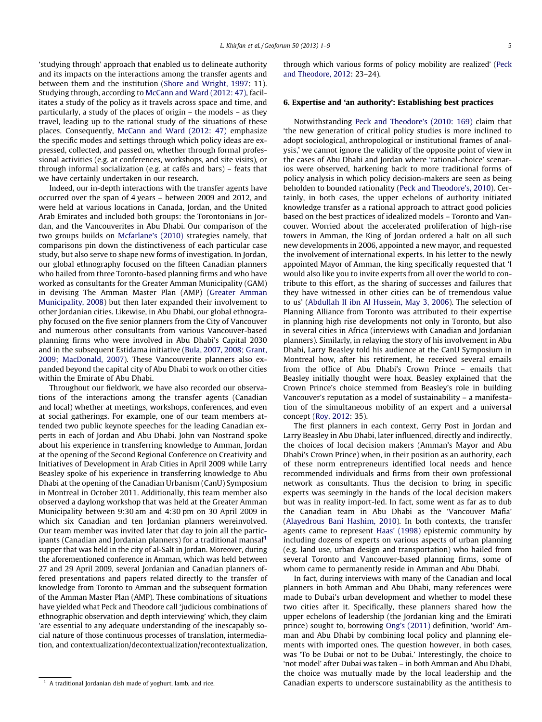'studying through' approach that enabled us to delineate authority and its impacts on the interactions among the transfer agents and between them and the institution [\(Shore and Wright, 1997:](#page-8-0) 11). Studying through, according to [McCann and Ward \(2012: 47\),](#page-7-0) facilitates a study of the policy as it travels across space and time, and particularly, a study of the places of origin – the models – as they travel, leading up to the rational study of the situations of these places. Consequently, [McCann and Ward \(2012: 47\)](#page-7-0) emphasize the specific modes and settings through which policy ideas are expressed, collected, and passed on, whether through formal professional activities (e.g. at conferences, workshops, and site visits), or through informal socialization (e.g. at cafés and bars) – feats that we have certainly undertaken in our research.

Indeed, our in-depth interactions with the transfer agents have occurred over the span of 4 years – between 2009 and 2012, and were held at various locations in Canada, Jordan, and the United Arab Emirates and included both groups: the Torontonians in Jordan, and the Vancouverites in Abu Dhabi. Our comparison of the two groups builds on [Mcfarlane's \(2010\)](#page-7-0) strategies namely, that comparisons pin down the distinctiveness of each particular case study, but also serve to shape new forms of investigation. In Jordan, our global ethnography focused on the fifteen Canadian planners who hailed from three Toronto-based planning firms and who have worked as consultants for the Greater Amman Municipality (GAM) in devising The Amman Master Plan (AMP) [\(Greater Amman](#page-7-0) [Municipality, 2008](#page-7-0)) but then later expanded their involvement to other Jordanian cities. Likewise, in Abu Dhabi, our global ethnography focused on the five senior planners from the City of Vancouver and numerous other consultants from various Vancouver-based planning firms who were involved in Abu Dhabi's Capital 2030 and in the subsequent Estidama initiative [\(Bula, 2007, 2008; Grant,](#page-7-0) [2009; MacDonald, 2007](#page-7-0)). These Vancouverite planners also expanded beyond the capital city of Abu Dhabi to work on other cities within the Emirate of Abu Dhabi.

Throughout our fieldwork, we have also recorded our observations of the interactions among the transfer agents (Canadian and local) whether at meetings, workshops, conferences, and even at social gatherings. For example, one of our team members attended two public keynote speeches for the leading Canadian experts in each of Jordan and Abu Dhabi. John van Nostrand spoke about his experience in transferring knowledge to Amman, Jordan at the opening of the Second Regional Conference on Creativity and Initiatives of Development in Arab Cities in April 2009 while Larry Beasley spoke of his experience in transferring knowledge to Abu Dhabi at the opening of the Canadian Urbanism (CanU) Symposium in Montreal in October 2011. Additionally, this team member also observed a daylong workshop that was held at the Greater Amman Municipality between 9:30 am and 4:30 pm on 30 April 2009 in which six Canadian and ten Jordanian planners wereinvolved. Our team member was invited later that day to join all the participants (Canadian and Jordanian planners) for a traditional mansaf<sup>1</sup> supper that was held in the city of al-Salt in Jordan. Moreover, during the aforementioned conference in Amman, which was held between 27 and 29 April 2009, several Jordanian and Canadian planners offered presentations and papers related directly to the transfer of knowledge from Toronto to Amman and the subsequent formation of the Amman Master Plan (AMP). These combinations of situations have yielded what Peck and Theodore call 'judicious combinations of ethnographic observation and depth interviewing' which, they claim 'are essential to any adequate understanding of the inescapably social nature of those continuous processes of translation, intermediation, and contextualization/decontextualization/recontextualization, through which various forms of policy mobility are realized' ([Peck](#page-8-0) [and Theodore, 2012](#page-8-0): 23–24).

## 6. Expertise and 'an authority': Establishing best practices

Notwithstanding [Peck and Theodore's \(2010: 169\)](#page-8-0) claim that 'the new generation of critical policy studies is more inclined to adopt sociological, anthropological or institutional frames of analysis,' we cannot ignore the validity of the opposite point of view in the cases of Abu Dhabi and Jordan where 'rational-choice' scenarios were observed, harkening back to more traditional forms of policy analysis in which policy decision-makers are seen as being beholden to bounded rationality [\(Peck and Theodore's, 2010](#page-8-0)). Certainly, in both cases, the upper echelons of authority initiated knowledge transfer as a rational approach to attract good policies based on the best practices of idealized models – Toronto and Vancouver. Worried about the accelerated proliferation of high-rise towers in Amman, the King of Jordan ordered a halt on all such new developments in 2006, appointed a new mayor, and requested the involvement of international experts. In his letter to the newly appointed Mayor of Amman, the king specifically requested that 'I would also like you to invite experts from all over the world to contribute to this effort, as the sharing of successes and failures that they have witnessed in other cities can be of tremendous value to us' ([Abdullah II ibn Al Hussein, May 3, 2006\)](#page-7-0). The selection of Planning Alliance from Toronto was attributed to their expertise in planning high rise developments not only in Toronto, but also in several cities in Africa (interviews with Canadian and Jordanian planners). Similarly, in relaying the story of his involvement in Abu Dhabi, Larry Beasley told his audience at the CanU Symposium in Montreal how, after his retirement, he received several emails from the office of Abu Dhabi's Crown Prince – emails that Beasley initially thought were hoax. Beasley explained that the Crown Prince's choice stemmed from Beasley's role in building Vancouver's reputation as a model of sustainability – a manifestation of the simultaneous mobility of an expert and a universal concept ([Roy, 2012](#page-8-0): 35).

The first planners in each context, Gerry Post in Jordan and Larry Beasley in Abu Dhabi, later influenced, directly and indirectly, the choices of local decision makers (Amman's Mayor and Abu Dhabi's Crown Prince) when, in their position as an authority, each of these norm entrepreneurs identified local needs and hence recommended individuals and firms from their own professional network as consultants. Thus the decision to bring in specific experts was seemingly in the hands of the local decision makers but was in reality import-led. In fact, some went as far as to dub the Canadian team in Abu Dhabi as the 'Vancouver Mafia' ([Alayedrous Bani Hashim, 2010\)](#page-7-0). In both contexts, the transfer agents came to represent [Haas' \(1998\)](#page-7-0) epistemic community by including dozens of experts on various aspects of urban planning (e.g. land use, urban design and transportation) who hailed from several Toronto and Vancouver-based planning firms, some of whom came to permanently reside in Amman and Abu Dhabi.

In fact, during interviews with many of the Canadian and local planners in both Amman and Abu Dhabi, many references were made to Dubai's urban development and whether to model these two cities after it. Specifically, these planners shared how the upper echelons of leadership (the Jordanian king and the Emirati prince) sought to, borrowing [Ong's \(2011\)](#page-8-0) definition, 'world' Amman and Abu Dhabi by combining local policy and planning elements with imported ones. The question however, in both cases, was 'To be Dubai or not to be Dubai.' Interestingly, the choice to 'not model' after Dubai was taken – in both Amman and Abu Dhabi, the choice was mutually made by the local leadership and the  $<sup>1</sup>$  A traditional Jordanian dish made of yoghurt, lamb, and rice.  $\qquad \qquad$  Canadian experts to underscore sustainability as the antithesis to</sup>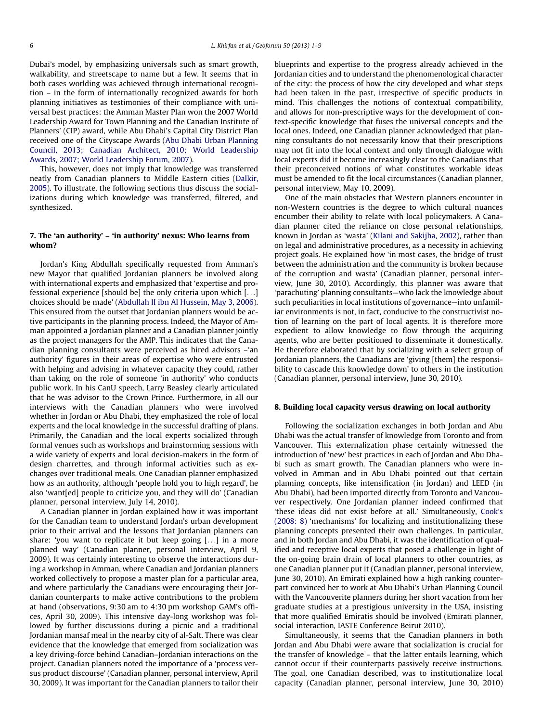Dubai's model, by emphasizing universals such as smart growth, walkability, and streetscape to name but a few. It seems that in both cases worlding was achieved through international recognition – in the form of internationally recognized awards for both planning initiatives as testimonies of their compliance with universal best practices: the Amman Master Plan won the 2007 World Leadership Award for Town Planning and the Canadian Institute of Planners' (CIP) award, while Abu Dhabi's Capital City District Plan received one of the Cityscape Awards ([Abu Dhabi Urban Planning](#page-7-0) [Council, 2013; Canadian Architect, 2010; World Leadership](#page-7-0) [Awards, 2007; World Leadership Forum, 2007](#page-7-0)).

This, however, does not imply that knowledge was transferred neatly from Canadian planners to Middle Eastern cities ([Dalkir,](#page-7-0) [2005\)](#page-7-0). To illustrate, the following sections thus discuss the socializations during which knowledge was transferred, filtered, and synthesized.

# 7. The 'an authority' – 'in authority' nexus: Who learns from whom?

Jordan's King Abdullah specifically requested from Amman's new Mayor that qualified Jordanian planners be involved along with international experts and emphasized that 'expertise and professional experience [should be] the only criteria upon which [...] choices should be made' ([Abdullah II ibn Al Hussein, May 3, 2006\)](#page-7-0). This ensured from the outset that Jordanian planners would be active participants in the planning process. Indeed, the Mayor of Amman appointed a Jordanian planner and a Canadian planner jointly as the project managers for the AMP. This indicates that the Canadian planning consultants were perceived as hired advisors –'an authority' figures in their areas of expertise who were entrusted with helping and advising in whatever capacity they could, rather than taking on the role of someone 'in authority' who conducts public work. In his CanU speech, Larry Beasley clearly articulated that he was advisor to the Crown Prince. Furthermore, in all our interviews with the Canadian planners who were involved whether in Jordan or Abu Dhabi, they emphasized the role of local experts and the local knowledge in the successful drafting of plans. Primarily, the Canadian and the local experts socialized through formal venues such as workshops and brainstorming sessions with a wide variety of experts and local decision-makers in the form of design charrettes, and through informal activities such as exchanges over traditional meals. One Canadian planner emphasized how as an authority, although 'people hold you to high regard', he also 'want[ed] people to criticize you, and they will do' (Canadian planner, personal interview, July 14, 2010).

A Canadian planner in Jordan explained how it was important for the Canadian team to understand Jordan's urban development prior to their arrival and the lessons that Jordanian planners can share: 'you want to replicate it but keep going [...] in a more planned way' (Canadian planner, personal interview, April 9, 2009). It was certainly interesting to observe the interactions during a workshop in Amman, where Canadian and Jordanian planners worked collectively to propose a master plan for a particular area, and where particularly the Canadians were encouraging their Jordanian counterparts to make active contributions to the problem at hand (observations, 9:30 am to 4:30 pm workshop GAM's offices, April 30, 2009). This intensive day-long workshop was followed by further discussions during a picnic and a traditional Jordanian mansaf meal in the nearby city of al-Salt. There was clear evidence that the knowledge that emerged from socialization was a key driving-force behind Canadian–Jordanian interactions on the project. Canadian planners noted the importance of a 'process versus product discourse' (Canadian planner, personal interview, April 30, 2009). It was important for the Canadian planners to tailor their

blueprints and expertise to the progress already achieved in the Jordanian cities and to understand the phenomenological character of the city: the process of how the city developed and what steps had been taken in the past, irrespective of specific products in mind. This challenges the notions of contextual compatibility, and allows for non-prescriptive ways for the development of context-specific knowledge that fuses the universal concepts and the local ones. Indeed, one Canadian planner acknowledged that planning consultants do not necessarily know that their prescriptions may not fit into the local context and only through dialogue with local experts did it become increasingly clear to the Canadians that their preconceived notions of what constitutes workable ideas must be amended to fit the local circumstances (Canadian planner, personal interview, May 10, 2009).

One of the main obstacles that Western planners encounter in non-Western countries is the degree to which cultural nuances encumber their ability to relate with local policymakers. A Canadian planner cited the reliance on close personal relationships, known in Jordan as 'wasta' [\(Kilani and Sakijha, 2002](#page-7-0)), rather than on legal and administrative procedures, as a necessity in achieving project goals. He explained how 'in most cases, the bridge of trust between the administration and the community is broken because of the corruption and wasta' (Canadian planner, personal interview, June 30, 2010). Accordingly, this planner was aware that 'parachuting' planning consultants—who lack the knowledge about such peculiarities in local institutions of governance—into unfamiliar environments is not, in fact, conducive to the constructivist notion of learning on the part of local agents. It is therefore more expedient to allow knowledge to flow through the acquiring agents, who are better positioned to disseminate it domestically. He therefore elaborated that by socializing with a select group of Jordanian planners, the Canadians are 'giving [them] the responsibility to cascade this knowledge down' to others in the institution (Canadian planner, personal interview, June 30, 2010).

### 8. Building local capacity versus drawing on local authority

Following the socialization exchanges in both Jordan and Abu Dhabi was the actual transfer of knowledge from Toronto and from Vancouver. This externalization phase certainly witnessed the introduction of 'new' best practices in each of Jordan and Abu Dhabi such as smart growth. The Canadian planners who were involved in Amman and in Abu Dhabi pointed out that certain planning concepts, like intensification (in Jordan) and LEED (in Abu Dhabi), had been imported directly from Toronto and Vancouver respectively. One Jordanian planner indeed confirmed that 'these ideas did not exist before at all.' Simultaneously, [Cook's](#page-7-0) [\(2008: 8\)](#page-7-0) 'mechanisms' for localizing and institutionalizing these planning concepts presented their own challenges. In particular, and in both Jordan and Abu Dhabi, it was the identification of qualified and receptive local experts that posed a challenge in light of the on-going brain drain of local planners to other countries, as one Canadian planner put it (Canadian planner, personal interview, June 30, 2010). An Emirati explained how a high ranking counterpart convinced her to work at Abu Dhabi's Urban Planning Council with the Vancouverite planners during her short vacation from her graduate studies at a prestigious university in the USA, insisting that more qualified Emiratis should be involved (Emirati planner, social interaction, IASTE Conference Beirut 2010).

Simultaneously, it seems that the Canadian planners in both Jordan and Abu Dhabi were aware that socialization is crucial for the transfer of knowledge – that the latter entails learning, which cannot occur if their counterparts passively receive instructions. The goal, one Canadian described, was to institutionalize local capacity (Canadian planner, personal interview, June 30, 2010)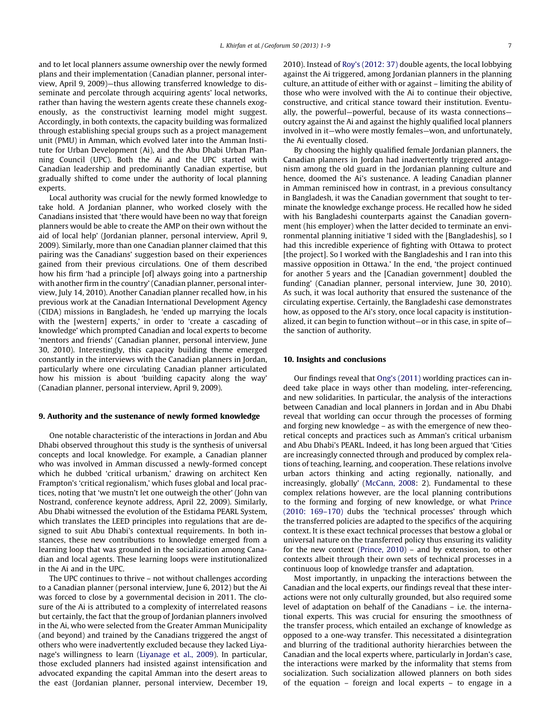and to let local planners assume ownership over the newly formed plans and their implementation (Canadian planner, personal interview, April 9, 2009)—thus allowing transferred knowledge to disseminate and percolate through acquiring agents' local networks, rather than having the western agents create these channels exogenously, as the constructivist learning model might suggest. Accordingly, in both contexts, the capacity building was formalized through establishing special groups such as a project management unit (PMU) in Amman, which evolved later into the Amman Institute for Urban Development (Ai), and the Abu Dhabi Urban Planning Council (UPC). Both the Ai and the UPC started with Canadian leadership and predominantly Canadian expertise, but gradually shifted to come under the authority of local planning experts.

Local authority was crucial for the newly formed knowledge to take hold. A Jordanian planner, who worked closely with the Canadians insisted that 'there would have been no way that foreign planners would be able to create the AMP on their own without the aid of local help' (Jordanian planner, personal interview, April 9, 2009). Similarly, more than one Canadian planner claimed that this pairing was the Canadians' suggestion based on their experiences gained from their previous circulations. One of them described how his firm 'had a principle [of] always going into a partnership with another firm in the country' (Canadian planner, personal interview, July 14, 2010). Another Canadian planner recalled how, in his previous work at the Canadian International Development Agency (CIDA) missions in Bangladesh, he 'ended up marrying the locals with the [western] experts,' in order to 'create a cascading of knowledge' which prompted Canadian and local experts to become 'mentors and friends' (Canadian planner, personal interview, June 30, 2010). Interestingly, this capacity building theme emerged constantly in the interviews with the Canadian planners in Jordan, particularly where one circulating Canadian planner articulated how his mission is about 'building capacity along the way' (Canadian planner, personal interview, April 9, 2009).

#### 9. Authority and the sustenance of newly formed knowledge

One notable characteristic of the interactions in Jordan and Abu Dhabi observed throughout this study is the synthesis of universal concepts and local knowledge. For example, a Canadian planner who was involved in Amman discussed a newly-formed concept which he dubbed 'critical urbanism,' drawing on architect Ken Frampton's 'critical regionalism,' which fuses global and local practices, noting that 'we mustn't let one outweigh the other' (John van Nostrand, conference keynote address, April 22, 2009). Similarly, Abu Dhabi witnessed the evolution of the Estidama PEARL System, which translates the LEED principles into regulations that are designed to suit Abu Dhabi's contextual requirements. In both instances, these new contributions to knowledge emerged from a learning loop that was grounded in the socialization among Canadian and local agents. These learning loops were institutionalized in the Ai and in the UPC.

The UPC continues to thrive – not without challenges according to a Canadian planner (personal interview, June 6, 2012) but the Ai was forced to close by a governmental decision in 2011. The closure of the Ai is attributed to a complexity of interrelated reasons but certainly, the fact that the group of Jordanian planners involved in the Ai, who were selected from the Greater Amman Municipality (and beyond) and trained by the Canadians triggered the angst of others who were inadvertently excluded because they lacked Liyanage's willingness to learn ([Liyanage et al., 2009\)](#page-7-0). In particular, those excluded planners had insisted against intensification and advocated expanding the capital Amman into the desert areas to the east (Jordanian planner, personal interview, December 19, 2010). Instead of [Roy's \(2012: 37\)](#page-8-0) double agents, the local lobbying against the Ai triggered, among Jordanian planners in the planning culture, an attitude of either with or against – limiting the ability of those who were involved with the Ai to continue their objective, constructive, and critical stance toward their institution. Eventually, the powerful—powerful, because of its wasta connections outcry against the Ai and against the highly qualified local planners involved in it—who were mostly females—won, and unfortunately, the Ai eventually closed.

By choosing the highly qualified female Jordanian planners, the Canadian planners in Jordan had inadvertently triggered antagonism among the old guard in the Jordanian planning culture and hence, doomed the Ai's sustenance. A leading Canadian planner in Amman reminisced how in contrast, in a previous consultancy in Bangladesh, it was the Canadian government that sought to terminate the knowledge exchange process. He recalled how he sided with his Bangladeshi counterparts against the Canadian government (his employer) when the latter decided to terminate an environmental planning initiative 'I sided with the [Bangladeshis], so I had this incredible experience of fighting with Ottawa to protect [the project]. So I worked with the Bangladeshis and I ran into this massive opposition in Ottawa.' In the end, 'the project continued for another 5 years and the [Canadian government] doubled the funding' (Canadian planner, personal interview, June 30, 2010). As such, it was local authority that ensured the sustenance of the circulating expertise. Certainly, the Bangladeshi case demonstrates how, as opposed to the Ai's story, once local capacity is institutionalized, it can begin to function without—or in this case, in spite of the sanction of authority.

## 10. Insights and conclusions

Our findings reveal that [Ong's \(2011\)](#page-8-0) worlding practices can indeed take place in ways other than modeling, inter-referencing, and new solidarities. In particular, the analysis of the interactions between Canadian and local planners in Jordan and in Abu Dhabi reveal that worlding can occur through the processes of forming and forging new knowledge – as with the emergence of new theoretical concepts and practices such as Amman's critical urbanism and Abu Dhabi's PEARL. Indeed, it has long been argued that 'Cities are increasingly connected through and produced by complex relations of teaching, learning, and cooperation. These relations involve urban actors thinking and acting regionally, nationally, and increasingly, globally' ([McCann, 2008:](#page-7-0) 2). Fundamental to these complex relations however, are the local planning contributions to the forming and forging of new knowledge, or what [Prince](#page-8-0) [\(2010: 169–170\)](#page-8-0) dubs the 'technical processes' through which the transferred policies are adapted to the specifics of the acquiring context. It is these exact technical processes that bestow a global or universal nature on the transferred policy thus ensuring its validity for the new context [\(Prince, 2010\)](#page-8-0) – and by extension, to other contexts albeit through their own sets of technical processes in a continuous loop of knowledge transfer and adaptation.

Most importantly, in unpacking the interactions between the Canadian and the local experts, our findings reveal that these interactions were not only culturally grounded, but also required some level of adaptation on behalf of the Canadians – i.e. the international experts. This was crucial for ensuring the smoothness of the transfer process, which entailed an exchange of knowledge as opposed to a one-way transfer. This necessitated a disintegration and blurring of the traditional authority hierarchies between the Canadian and the local experts where, particularly in Jordan's case, the interactions were marked by the informality that stems from socialization. Such socialization allowed planners on both sides of the equation – foreign and local experts – to engage in a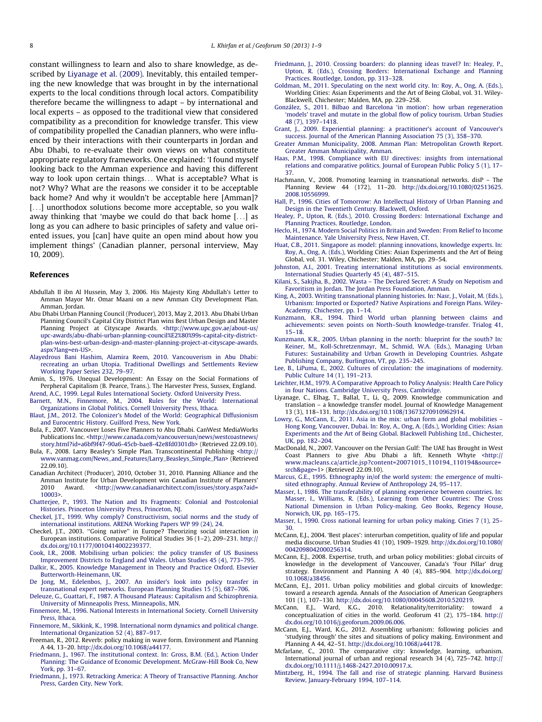<span id="page-7-0"></span>constant willingness to learn and also to share knowledge, as described by Liyanage et al. (2009). Inevitably, this entailed tempering the new knowledge that was brought in by the international experts to the local conditions through local actors. Compatibility therefore became the willingness to adapt – by international and local experts – as opposed to the traditional view that considered compatibility as a precondition for knowledge transfer. This view of compatibility propelled the Canadian planners, who were influenced by their interactions with their counterparts in Jordan and Abu Dhabi, to re-evaluate their own views on what constitute appropriate regulatory frameworks. One explained: 'I found myself looking back to the Amman experience and having this different way to look upon certain things... What is acceptable? What is not? Why? What are the reasons we consider it to be acceptable back home? And why it wouldn't be acceptable here [Amman]? [...] unorthodox solutions become more acceptable, so you walk away thinking that 'maybe we could do that back home [...] as long as you can adhere to basic principles of safety and value oriented issues, you [can] have quite an open mind about how you implement things' (Canadian planner, personal interview, May 10, 2009).

## References

- Abdullah II ibn Al Hussein, May 3, 2006. His Majesty King Abdullah's Letter to Amman Mayor Mr. Omar Maani on a new Amman City Development Plan. Amman, Jordan.
- Abu Dhabi Urban Planning Council (Producer), 2013, May 2, 2013. Abu Dhabi Urban Planning Council's Capital City District Plan wins Best Urban Design and Master Planning Project at Cityscape Awards. [<http://www.upc.gov.ae/about-us/](http://www.upc.gov.ae/about-us/upc-awards/abu-dhabi-urban-planning-council%E2%80%99s-capital-city-district-plan-wins-best-urban-design-and-master-planning-project-at-cityscape-awards.aspx?lang=en-US) [upc-awards/abu-dhabi-urban-planning-council%E2%80%99s-capital-city-district](http://www.upc.gov.ae/about-us/upc-awards/abu-dhabi-urban-planning-council%E2%80%99s-capital-city-district-plan-wins-best-urban-design-and-master-planning-project-at-cityscape-awards.aspx?lang=en-US)[plan-wins-best-urban-design-and-master-planning-project-at-cityscape-awards.](http://www.upc.gov.ae/about-us/upc-awards/abu-dhabi-urban-planning-council%E2%80%99s-capital-city-district-plan-wins-best-urban-design-and-master-planning-project-at-cityscape-awards.aspx?lang=en-US) [aspx?lang=en-US>](http://www.upc.gov.ae/about-us/upc-awards/abu-dhabi-urban-planning-council%E2%80%99s-capital-city-district-plan-wins-best-urban-design-and-master-planning-project-at-cityscape-awards.aspx?lang=en-US).
- [Alayedrous Bani Hashim, Alamira Reem, 2010. Vancouverism in Abu Dhabi:](http://refhub.elsevier.com/S0016-7185(13)00164-4/h0005) [recreating an urban Utopia. Traditional Dwellings and Settlements Review](http://refhub.elsevier.com/S0016-7185(13)00164-4/h0005) [Working Paper Series 232, 79–97](http://refhub.elsevier.com/S0016-7185(13)00164-4/h0005).
- Amin, S., 1976. Unequal Development: An Essay on the Social Formations of Perpheral Capitalism (B. Pearce, Trans.). The Harvester Press, Sussex, England.
- [Arend, A.C., 1999. Legal Rules International Society. Oxford University Press](http://refhub.elsevier.com/S0016-7185(13)00164-4/h0335). [Barnett, M.N., Finnemore, M., 2004. Rules for the World: International](http://refhub.elsevier.com/S0016-7185(13)00164-4/h0010) [Organizations in Global Politics. Cornell University Press, Ithaca.](http://refhub.elsevier.com/S0016-7185(13)00164-4/h0010)
- [Blaut, J.M., 2012. The Colonizer's Model of the World: Geographical Diffusionism](http://refhub.elsevier.com/S0016-7185(13)00164-4/h0015) [and Eurocentric History. Guilford Press, New York](http://refhub.elsevier.com/S0016-7185(13)00164-4/h0015).
- Bula, F., 2007. Vancouver Loses Five Planners to Abu Dhabi. CanWest MediaWorks Publications Inc. [<http://www.canada.com/vancouversun/news/westcoastnews/](http://www.canada.com/vancouversun/news/westcoastnews/story.html?id=a6bf9f47-90a6-45cb-bae8-42e8fd0301db) [story.html?id=a6bf9f47-90a6-45cb-bae8-42e8fd0301db](http://www.canada.com/vancouversun/news/westcoastnews/story.html?id=a6bf9f47-90a6-45cb-bae8-42e8fd0301db)> (Retrieved 22.09.10).
- Bula, F., 2008. Larry Beasley's Simple Plan. Transcontinental Publishing [<http://](http://www.vanmag.com/News_and_Features/Larry_Beasleys_Simple_Plan) [www.vanmag.com/News\\_and\\_Features/Larry\\_Beasleys\\_Simple\\_Plan](http://www.vanmag.com/News_and_Features/Larry_Beasleys_Simple_Plan)> (Retrieved 22.09.10).
- Canadian Architect (Producer), 2010, October 31, 2010. Planning Alliance and the Amman Institute for Urban Development win Canadian Institute of Planners' 2010 Award. <[http://www.canadianarchitect.com/issues/story.aspx?aid=](http://www.canadianarchitect.com/issues/story.aspx?aid=10003) [10003>](http://www.canadianarchitect.com/issues/story.aspx?aid=10003).
- [Chatterjee, P., 1993. The Nation and Its Fragments: Colonial and Postcolonial](http://refhub.elsevier.com/S0016-7185(13)00164-4/h0020) [Histories. Princeton University Press, Princeton, NJ](http://refhub.elsevier.com/S0016-7185(13)00164-4/h0020).
- [Checkel, J.T., 1999. Why comply? Constructivism, social norms and the study of](http://refhub.elsevier.com/S0016-7185(13)00164-4/h0025) [international institutions. ARENA Working Papers WP 99 \(24\), 24](http://refhub.elsevier.com/S0016-7185(13)00164-4/h0025).
- Checkel, J.T., 2003. ''Going native'' in Europe? Theorizing social interaction in European institutions. Comparative Political Studies 36 (1–2), 209–231. [http://](http://dx.doi.org/10.1177/0010414002239377) [dx.doi.org/10.1177/0010414002239377.](http://dx.doi.org/10.1177/0010414002239377)
- [Cook, I.R., 2008. Mobilising urban policies: the policy transfer of US Business](http://refhub.elsevier.com/S0016-7185(13)00164-4/h0035) [Improvement Districts to England and Wales. Urban Studies 45 \(4\), 773–795](http://refhub.elsevier.com/S0016-7185(13)00164-4/h0035).
- [Dalkir, K., 2005. Knowledge Management in Theory and Practice Oxford. Elsevier](http://refhub.elsevier.com/S0016-7185(13)00164-4/h0040) [Butterworth-Heinemann, UK](http://refhub.elsevier.com/S0016-7185(13)00164-4/h0040).
- [De Jong, M., Edelenbos, J., 2007. An insider's look into policy transfer in](http://refhub.elsevier.com/S0016-7185(13)00164-4/h0045) [transnational expert networks. European Planning Studies 15 \(5\), 687–706.](http://refhub.elsevier.com/S0016-7185(13)00164-4/h0045)
- [Deleuze, G., Guattari, F., 1987. A Thousand Plateaus: Capitalism and Schizophrenia.](http://refhub.elsevier.com/S0016-7185(13)00164-4/h0050) [University of Minneapolis Press, Minneapolis, MN.](http://refhub.elsevier.com/S0016-7185(13)00164-4/h0050)
- [Finnemore, M., 1996. National Interests in International Society. Cornell University](http://refhub.elsevier.com/S0016-7185(13)00164-4/h0055) [Press, Ithaca](http://refhub.elsevier.com/S0016-7185(13)00164-4/h0055).
- [Finnemore, M., Sikkink, K., 1998. International norm dynamics and political change.](http://refhub.elsevier.com/S0016-7185(13)00164-4/h0060) [International Organization 52 \(4\), 887–917](http://refhub.elsevier.com/S0016-7185(13)00164-4/h0060).
- Freeman, R., 2012. Reverb: policy making in wave form. Environment and Planning A 44, 13–20. <http://dx.doi.org/10.1068/a44177>.
- [Friedmann, J., 1967. The institutional context. In: Gross, B.M. \(Ed.\), Action Under](http://refhub.elsevier.com/S0016-7185(13)00164-4/h0070) [Planning: The Guidance of Economic Development. McGraw-Hill Book Co, New](http://refhub.elsevier.com/S0016-7185(13)00164-4/h0070) [York, pp. 31–67.](http://refhub.elsevier.com/S0016-7185(13)00164-4/h0070)
- [Friedmann, J., 1973. Retracking America: A Theory of Transactive Planning. Anchor](http://refhub.elsevier.com/S0016-7185(13)00164-4/h0075) [Press, Garden City, New York.](http://refhub.elsevier.com/S0016-7185(13)00164-4/h0075)
- [Friedmann, J., 2010. Crossing boarders: do planning ideas travel? In: Healey, P.,](http://refhub.elsevier.com/S0016-7185(13)00164-4/h0080) [Upton, R. \(Eds.\), Crossing Borders: International Exchange and Planning](http://refhub.elsevier.com/S0016-7185(13)00164-4/h0080) [Practices. Routledge, London, pp. 313–328](http://refhub.elsevier.com/S0016-7185(13)00164-4/h0080).
- [Goldman, M., 2011. Speculating on the next world city. In: Roy, A., Ong, A. \(Eds.\),](http://refhub.elsevier.com/S0016-7185(13)00164-4/h0340) [Worlding Cities: Asian Experiments and the Art of Being Global, vol. 31. Wiley-](http://refhub.elsevier.com/S0016-7185(13)00164-4/h0340)[Blackwell, Chichester; Malden, MA, pp. 229–258](http://refhub.elsevier.com/S0016-7185(13)00164-4/h0340).
- [González, S., 2011. Bilbao and Barcelona 'in motion': how urban regeneration](http://refhub.elsevier.com/S0016-7185(13)00164-4/h0085) ['models' travel and mutate in the global flow of policy tourism. Urban Studies](http://refhub.elsevier.com/S0016-7185(13)00164-4/h0085) [48 \(7\), 1397–1418](http://refhub.elsevier.com/S0016-7185(13)00164-4/h0085).
- [Grant, J., 2009. Experiential planning: a practitioner's account of Vancouver's](http://refhub.elsevier.com/S0016-7185(13)00164-4/h0090) [success. Journal of the American Planning Association 75 \(3\), 358–370](http://refhub.elsevier.com/S0016-7185(13)00164-4/h0090).
- [Greater Amman Municipality, 2008. Amman Plan: Metropolitan Growth Report.](http://refhub.elsevier.com/S0016-7185(13)00164-4/h0095) [Greater Amman Municipality, Amman](http://refhub.elsevier.com/S0016-7185(13)00164-4/h0095).
- [Haas, P.M., 1998. Compliance with EU directives: insights from international](http://refhub.elsevier.com/S0016-7185(13)00164-4/h0100) [relations and comparative politics. Journal of European Public Policy 5 \(1\), 17–](http://refhub.elsevier.com/S0016-7185(13)00164-4/h0100) [37](http://refhub.elsevier.com/S0016-7185(13)00164-4/h0100).
- Hachmann, V., 2008. Promoting learning in transnational networks. disP The Planning Review 44 (172), 11–20. [http://dx.doi.org/10.1080/02513625.](http://dx.doi.org/10.1080/02513625.2008.10556999) [2008.10556999.](http://dx.doi.org/10.1080/02513625.2008.10556999)
- [Hall, P., 1996. Cities of Tomorrow: An Intellectual History of Urban Planning and](http://refhub.elsevier.com/S0016-7185(13)00164-4/h0110) [Design in the Twentieth Century. Blackwell, Oxford](http://refhub.elsevier.com/S0016-7185(13)00164-4/h0110).
- [Healey, P., Upton, R. \(Eds.\), 2010. Crossing Borders: International Exchange and](http://refhub.elsevier.com/S0016-7185(13)00164-4/h0115) [Planning Practices. Routledge, London](http://refhub.elsevier.com/S0016-7185(13)00164-4/h0115).
- [Heclo, H., 1974. Modern Social Politics in Britain and Sweden: From Relief to Income](http://refhub.elsevier.com/S0016-7185(13)00164-4/h0120) [Maintenance. Yale University Press, New Haven, CT](http://refhub.elsevier.com/S0016-7185(13)00164-4/h0120).
- [Huat, C.B., 2011. Singapore as model: planning innovations, knowledge experts. In:](http://refhub.elsevier.com/S0016-7185(13)00164-4/h0350) Roy, A., Ong, A. (Eds.), [Worlding Cities: Asian Experiments and the Art of Being](http://refhub.elsevier.com/S0016-7185(13)00164-4/h0350) [Global, vol. 31. Wiley, Chichester; Malden, MA, pp. 29–54.](http://refhub.elsevier.com/S0016-7185(13)00164-4/h0350)
- [Johnston, A.I., 2001. Treating international institutions as social environments.](http://refhub.elsevier.com/S0016-7185(13)00164-4/h0125) [International Studies Quarterly 45 \(4\), 487–515.](http://refhub.elsevier.com/S0016-7185(13)00164-4/h0125)
- [Kilani, S., Sakijha, B., 2002. Wasta The Declared Secret: A Study on Nepotism and](http://refhub.elsevier.com/S0016-7185(13)00164-4/h0130) [Favoritism in Jordan. The Jordan Press Foundation, Amman.](http://refhub.elsevier.com/S0016-7185(13)00164-4/h0130)
- [King, A., 2003. Writing transnational planning histories. In: Nasr, J., Volait, M. \(Eds.\),](http://refhub.elsevier.com/S0016-7185(13)00164-4/h0135) [Urbanism: Imported or Exported? Native Aspirations and Foreign Plans. Wiley-](http://refhub.elsevier.com/S0016-7185(13)00164-4/h0135)[Academy, Chichester, pp. 1–14](http://refhub.elsevier.com/S0016-7185(13)00164-4/h0135).
- [Kunzmann, K.R., 1994. Third World urban planning between claims and](http://refhub.elsevier.com/S0016-7185(13)00164-4/h0140) [achievements: seven points on North–South knowledge-transfer. Trialog 41,](http://refhub.elsevier.com/S0016-7185(13)00164-4/h0140) [15–18.](http://refhub.elsevier.com/S0016-7185(13)00164-4/h0140)
- [Kunzmann, K.R., 2005. Urban planning in the north: blueprint for the south? In:](http://refhub.elsevier.com/S0016-7185(13)00164-4/h0145) [Keiner, M., Koll-Schretzenmayr, M., Schmid, W.A. \(Eds.\), Managing Urban](http://refhub.elsevier.com/S0016-7185(13)00164-4/h0145) [Futures: Sustainability and Urban Growth in Developing Countries. Ashgate](http://refhub.elsevier.com/S0016-7185(13)00164-4/h0145) [Publishing Company, Burlington, VT, pp. 235–245](http://refhub.elsevier.com/S0016-7185(13)00164-4/h0145).
- [Lee, B., LiPuma, E., 2002. Cultures of circulation: the imaginations of modernity.](http://refhub.elsevier.com/S0016-7185(13)00164-4/h0150) [Public Culture 14 \(1\), 191–213.](http://refhub.elsevier.com/S0016-7185(13)00164-4/h0150)
- [Leichter, H.M., 1979. A Comparative Approach to Policy Analysis: Health Care Policy](http://refhub.elsevier.com/S0016-7185(13)00164-4/h0155) [in four Nations. Cambridge University Press, Cambridge](http://refhub.elsevier.com/S0016-7185(13)00164-4/h0155).
- Liyanage, C., Elhag, T., Ballal, T., Li, Q., 2009. Knowledge communication and translation – a knowledge transfer model. Journal of Knowledge Management 13 (3), 118–131. [http://dx.doi.org/10.1108/13673270910962914.](http://dx.doi.org/10.1108/13673270910962914)
- [Lowry, G., McCann, E., 2011. Asia in the mix: urban form and global mobilities –](http://refhub.elsevier.com/S0016-7185(13)00164-4/h0165) [Hong Kong, Vancouver, Dubai. In: Roy, A., Ong, A. \(Eds.\), Worlding Cities: Asian](http://refhub.elsevier.com/S0016-7185(13)00164-4/h0165) [Experiments and the Art of Being Global. Blackwell Publishing Ltd., Chichester,](http://refhub.elsevier.com/S0016-7185(13)00164-4/h0165) [UK, pp. 182–204](http://refhub.elsevier.com/S0016-7185(13)00164-4/h0165).
- MacDonald, N., 2007. Vancouver on the Persian Gulf: The UAE has Brought in West Coast Planners to give Abu Dhabi a lift. Kenneth Whyte [<http://](http://www.macleans.ca/article.jsp?content=20071015_110194_110194&source=srch&page=1) [www.macleans.ca/article.jsp?content=20071015\\_110194\\_110194&source=](http://www.macleans.ca/article.jsp?content=20071015_110194_110194&source=srch&page=1) [srch&page=1>](http://www.macleans.ca/article.jsp?content=20071015_110194_110194&source=srch&page=1) (Retrieved 22.09.10).
- [Marcus, G.E., 1995. Ethnography in/of the world system: the emergence of multi](http://refhub.elsevier.com/S0016-7185(13)00164-4/h0170)[sited ethnography. Annual Review of Anthropology 24, 95–117](http://refhub.elsevier.com/S0016-7185(13)00164-4/h0170).
- [Masser, I., 1986. The transferability of planning experience between countries. In:](http://refhub.elsevier.com/S0016-7185(13)00164-4/h0180) [Masser, I., Williams, R. \(Eds.\), Learning from Other Countries: The Cross](http://refhub.elsevier.com/S0016-7185(13)00164-4/h0180) [National Dimension in Urban Policy-making. Geo Books, Regency House,](http://refhub.elsevier.com/S0016-7185(13)00164-4/h0180) [Norwich, UK, pp. 165–175.](http://refhub.elsevier.com/S0016-7185(13)00164-4/h0180)
- [Masser, I., 1990. Cross national learning for urban policy making. Cities 7 \(1\), 25–](http://refhub.elsevier.com/S0016-7185(13)00164-4/h0175) [30](http://refhub.elsevier.com/S0016-7185(13)00164-4/h0175).
- McCann, E.J., 2004. 'Best places': interurban competition, quality of life and popular media discourse. Urban Studies 41 (10), 1909–1929. [http://dx.doi.org/10.1080/](http://dx.doi.org/10.1080/0042098042000256314) [0042098042000256314.](http://dx.doi.org/10.1080/0042098042000256314)
- McCann, E.J., 2008. Expertise, truth, and urban policy mobilities: global circuits of knowledge in the development of Vancouver, Canada's 'Four Pillar' drug strategy. Environment and Planning A 40 (4), 885–904. [http://dx.doi.org/](http://dx.doi.org/10.1068/a38456) [10.1068/a38456.](http://dx.doi.org/10.1068/a38456)
- McCann, E.J., 2011. Urban policy mobilities and global circuits of knowledge: toward a research agenda. Annals of the Association of American Geographers 101 (1), 107–130. [http://dx.doi.org/10.1080/00045608.2010.520219.](http://dx.doi.org/10.1080/00045608.2010.520219)
- McCann, E.J., Ward, K.G., 2010. Relationality/territoriality: toward a conceptualization of cities in the world. Geoforum 41 (2), 175–184. [http://](http://dx.doi.org/10.1016/j.geoforum.2009.06.006) [dx.doi.org/10.1016/j.geoforum.2009.06.006](http://dx.doi.org/10.1016/j.geoforum.2009.06.006).
- McCann, E.J., Ward, K.G., 2012. Assembling urbanism: following policies and 'studying through' the sites and situations of policy making. Environment and Planning A 44, 42–51. [http://dx.doi.org/10.1068/a44178.](http://dx.doi.org/10.1068/a44178)
- Mcfarlane, C., 2010. The comparative city: knowledge, learning, urbanism. International journal of urban and regional research 34 (4), 725–742. [http://](http://dx.doi.org/10.1111/j.1468-2427.2010.00917.x) [dx.doi.org/10.1111/j.1468-2427.2010.00917.x.](http://dx.doi.org/10.1111/j.1468-2427.2010.00917.x)
- [Mintzberg, H., 1994. The fall and rise of strategic planning. Harvard Business](http://refhub.elsevier.com/S0016-7185(13)00164-4/h0215) [Review, January-February 1994, 107–114](http://refhub.elsevier.com/S0016-7185(13)00164-4/h0215).